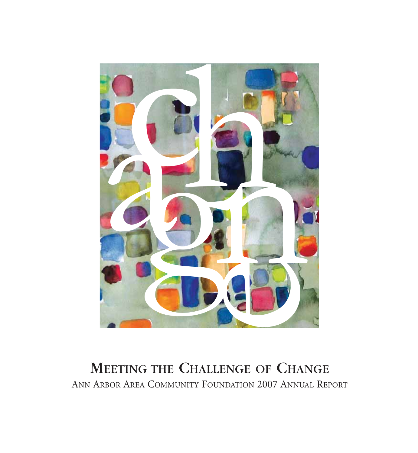

### MEETING THE CHALLENGE OF CHANGE ANN ARBOR AREA COMMUNITY FOUNDATION 2007 ANNUAL REPORT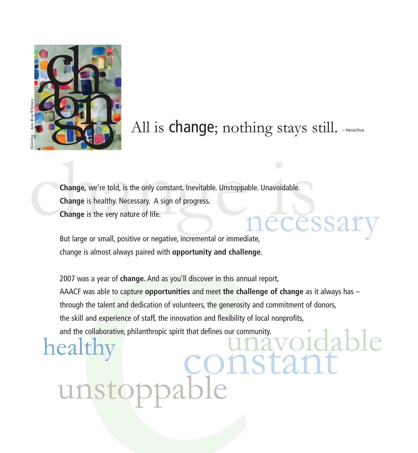

# All is change; nothing stays still. - Heraclitus

necessary Change, we're told, is the only constant. Inevitable. Unstoppable. Unavoidable.<br>
Change is healthy. Necessary. A sign of progress.<br>
Change is the very nature of life. **Change** is healthy. Necessary. A sign of progress. **Change** is the very nature of life.

But large or small, positive or negative, incremental or immediate, change is almost always paired with **opportunity and challenge** .

The state of the only constant, hevitable, Unstoppable, Unavoidable,<br>ange we're told, is the only constant, hevitable, Unstoppable, Unavoidable,<br>ange is healthy, Necessary. A sign of progress.<br>ange is the very nature of li healthy 2007 was a year of **change**. And as you'll discover in this annual report, AAACF was able to capture **opportunities** and meet **the challenge of change** as it always has – through the talent and dedication of volunteers, the generosity and commitment of donors, the skill and experience of staff, the innovation and flexibility of local nonprofits, All is change; nothing<br>and the collapse of the collapse of the collapse of the change is healthy. Necessary. A sign of progress.<br>Change is the very nature of life.<br>But large or small, positive or negative, incremental or i

unstoppable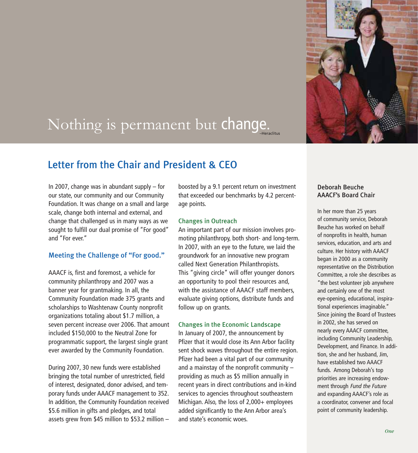

# Nothing is permanent but change.

#### Letter from the Chair and President & CEO

In 2007, change was in abundant supply – for our state, our community and our Community Foundation. It was change on a small and large scale, change both internal and external, and change that challenged us in many ways as we sought to fulfill our dual promise of "For good" and "For ever."

#### Meeting the Challenge of "For good."

AAACF is, first and foremost, a vehicle for community philanthropy and 2007 was a banner year for grantmaking. In all, the Community Foundation made 375 grants and scholarships to Washtenaw County nonprofit organizations totaling about \$1.7 million, a seven percent increase over 2006. That amount included \$150,000 to the Neutral Zone for programmatic support, the largest single grant ever awarded by the Community Foundation.

During 2007, 30 new funds were established bringing the total number of unrestricted, field of interest, designated, donor advised, and temporary funds under AAACF management to 352. In addition, the Community Foundation received \$5.6 million in gifts and pledges, and total assets grew from \$45 million to \$53.2 million –

boosted by a 9.1 percent return on investment that exceeded our benchmarks by 4.2 percentage points.

#### Changes in Outreach

An important part of our mission involves promoting philanthropy, both short- and long-term. In 2007, with an eye to the future, we laid the groundwork for an innovative new program called Next Generation Philanthropists. This "giving circle" will offer younger donors an opportunity to pool their resources and, with the assistance of AAACF staff members, evaluate giving options, distribute funds and follow up on grants.

#### Changes in the Economic Landscape

In January of 2007, the announcement by Pfizer that it would close its Ann Arbor facility sent shock waves throughout the entire region. Pfizer had been a vital part of our community and a mainstay of the nonprofit community – providing as much as \$5 million annually in recent years in direct contributions and in-kind services to agencies throughout southeastern Michigan. Also, the loss of 2,000+ employees added significantly to the Ann Arbor area's and state's economic woes.

#### Deborah Beuche AAACF's Board Chair

In her more than 25 years of community service, Deborah Beuche has worked on behalf of nonprofits in health, human services, education, and arts and culture. Her history with AAACF began in 2000 as a community representative on the Distribution Committee, a role she describes as "the best volunteer job anywhere and certainly one of the most eye-opening, educational, inspirational experiences imaginable." Since joining the Board of Trustees in 2002, she has served on nearly every AAACF committee, including Community Leadership, Development, and Finance. In addition, she and her husband, Jim, have established two AAACF funds. Among Deborah's top priorities are increasing endowment through Fund the Future and expanding AAACF's role as a coordinator, convener and focal point of community leadership.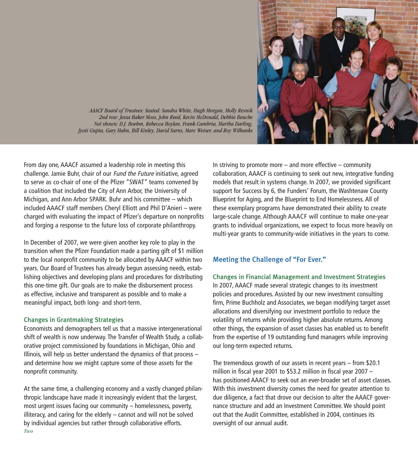

*AAACF Board of Trustees: Seated: Sandra White, Hugh Morgan, Molly Resnik 2nd row: Jessa Baker Moss, John Reed, Kevin McDonald, Debbie Beuche Not shown: D.J. Boehm, Rebecca Boylan, Frank Cambria, Martha Darling, Jyoti Gupta, Gary Hahn, Bill Kinley, David Sarns, Marc Weiser, and Roy Wilbanks*

From day one, AAACF assumed a leadership role in meeting this challenge. Jamie Buhr, chair of our Fund the Future initiative, agreed to serve as co-chair of one of the Pfizer "SWAT" teams convened by a coalition that included the City of Ann Arbor, the University of Michigan, and Ann Arbor SPARK. Buhr and his committee – which included AAACF staff members Cheryl Elliott and Phil D'Anieri – were charged with evaluating the impact of Pfizer's departure on nonprofits and forging a response to the future loss of corporate philanthropy.

In December of 2007, we were given another key role to play in the transition when the Pfizer Foundation made a parting gift of \$1 million to the local nonprofit community to be allocated by AAACF within two years. Our Board of Trustees has already begun assessing needs, establishing objectives and developing plans and procedures for distributing this one-time gift. Our goals are to make the disbursement process as effective, inclusive and transparent as possible and to make a meaningful impact, both long- and short-term.

#### Changes in Grantmaking Strategies

Economists and demographers tell us that a massive intergenerational shift of wealth is now underway. The Transfer of Wealth Study, a collaborative project commissioned by foundations in Michigan, Ohio and Illinois, will help us better understand the dynamics of that process – and determine how we might capture some of those assets for the nonprofit community.

At the same time, a challenging economy and a vastly changed philanthropic landscape have made it increasingly evident that the largest, most urgent issues facing our community – homelessness, poverty, illiteracy, and caring for the elderly – cannot and will not be solved by individual agencies but rather through collaborative efforts. *Two*

In striving to promote more  $-$  and more effective  $-$  community collaboration, AAACF is continuing to seek out new, integrative funding models that result in systems change. In 2007, we provided significant support for Success by 6, the Funders' Forum, the Washtenaw County Blueprint for Aging, and the Blueprint to End Homelessness. All of these exemplary programs have demonstrated their ability to create large-scale change. Although AAACF will continue to make one-year grants to individual organizations, we expect to focus more heavily on multi-year grants to community-wide initiatives in the years to come.

#### Meeting the Challenge of "For Ever."

Changes in Financial Management and Investment Strategies In 2007, AAACF made several strategic changes to its investment policies and procedures. Assisted by our new investment consulting firm, Prime Buchholz and Associates, we began modifying target asset allocations and diversifying our investment portfolio to reduce the volatility of returns while providing higher absolute returns. Among other things, the expansion of asset classes has enabled us to benefit from the expertise of 19 outstanding fund managers while improving our long-term expected returns.

The tremendous growth of our assets in recent years – from \$20.1 million in fiscal year 2001 to \$53.2 million in fiscal year 2007 – has positioned AAACF to seek out an ever-broader set of asset classes. With this investment diversity comes the need for greater attention to due diligence, a fact that drove our decision to alter the AAACF governance structure and add an Investment Committee. We should point out that the Audit Committee, established in 2004, continues its oversight of our annual audit.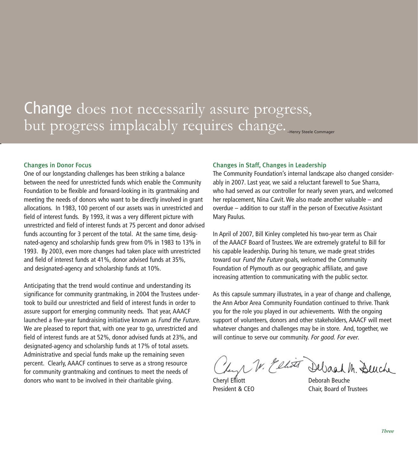### Change does not necessarily assure progress, but progress implacably requires change.

#### Changes in Donor Focus

One of our longstanding challenges has been striking a balance between the need for unrestricted funds which enable the Community Foundation to be flexible and forward-looking in its grantmaking and meeting the needs of donors who want to be directly involved in grant allocations. In 1983, 100 percent of our assets was in unrestricted and field of interest funds. By 1993, it was a very different picture with unrestricted and field of interest funds at 75 percent and donor advised funds accounting for 3 percent of the total. At the same time, designated-agency and scholarship funds grew from 0% in 1983 to 13% in 1993. By 2003, even more changes had taken place with unrestricted and field of interest funds at 41%, donor advised funds at 35%, and designated-agency and scholarship funds at 10%.

Anticipating that the trend would continue and understanding its significance for community grantmaking, in 2004 the Trustees undertook to build our unrestricted and field of interest funds in order to assure support for emerging community needs. That year, AAACF launched a five-year fundraising initiative known as Fund the Future. We are pleased to report that, with one year to go, unrestricted and field of interest funds are at 52%, donor advised funds at 23%, and designated-agency and scholarship funds at 17% of total assets. Administrative and special funds make up the remaining seven percent. Clearly, AAACF continues to serve as a strong resource for community grantmaking and continues to meet the needs of donors who want to be involved in their charitable giving.

#### Changes in Staff, Changes in Leadership

The Community Foundation's internal landscape also changed considerably in 2007. Last year, we said a reluctant farewell to Sue Sharra, who had served as our controller for nearly seven years, and welcomed her replacement, Nina Cavit. We also made another valuable – and overdue – addition to our staff in the person of Executive Assistant Mary Paulus.

In April of 2007, Bill Kinley completed his two-year term as Chair of the AAACF Board of Trustees. We are extremely grateful to Bill for his capable leadership. During his tenure, we made great strides toward our Fund the Future goals, welcomed the Community Foundation of Plymouth as our geographic affiliate, and gave increasing attention to communicating with the public sector.

As this capsule summary illustrates, in a year of change and challenge, the Ann Arbor Area Community Foundation continued to thrive. Thank you for the role you played in our achievements. With the ongoing support of volunteers, donors and other stakeholders, AAACF will meet whatever changes and challenges may be in store. And, together, we will continue to serve our community. For good. For ever.

Leyr W. Elliott Debach M. Beuche

Cheryl Elliott Deborah Beuche President & CEO Chair, Board of Trustees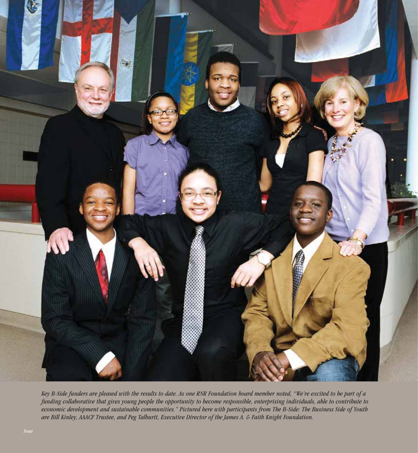

*Key B-Side funders are pleased with the results to date. As one RNR Foundation board member noted, "We're excited to be part of a funding collaborative that gives young people the opportunity to become responsible, enterprising individuals, able to contribute to economic development and sustainable communities." Pictured here with participants from The B-Side: The Business Side of Youth are Bill Kinley, AAACF Trustee, and Peg Talburtt, Executive Director of the James A. & Faith Knight Foundation.*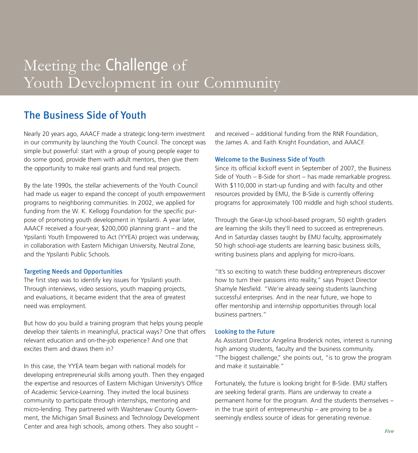### Meeting the **Challenge** of Youth Development in our Community

#### The Business Side of Youth

Nearly 20 years ago, AAACF made a strategic long-term investment in our community by launching the Youth Council. The concept was simple but powerful: start with a group of young people eager to do some good, provide them with adult mentors, then give them the opportunity to make real grants and fund real projects.

By the late 1990s, the stellar achievements of the Youth Council had made us eager to expand the concept of youth empowerment programs to neighboring communities. In 2002, we applied for funding from the W. K. Kellogg Foundation for the specific purpose of promoting youth development in Ypsilanti. A year later, AAACF received a four-year, \$200,000 planning grant – and the Ypsilanti Youth Empowered to Act (YYEA) project was underway, in collaboration with Eastern Michigan University, Neutral Zone, and the Ypsilanti Public Schools.

#### Targeting Needs and Opportunities

The first step was to identify key issues for Ypsilanti youth. Through interviews, video sessions, youth mapping projects, and evaluations, it became evident that the area of greatest need was employment.

But how do you build a training program that helps young people develop their talents in meaningful, practical ways? One that offers relevant education and on-the-job experience? And one that excites them and draws them in?

In this case, the YYEA team began with national models for developing entrepreneurial skills among youth. Then they engaged the expertise and resources of Eastern Michigan University's Office of Academic Service-Learning. They invited the local business community to participate through internships, mentoring and micro-lending. They partnered with Washtenaw County Government, the Michigan Small Business and Technology Development Center and area high schools, among others. They also sought –

and received – additional funding from the RNR Foundation, the James A. and Faith Knight Foundation, and AAACF.

#### Welcome to the Business Side of Youth

Since its official kickoff event in September of 2007, the Business Side of Youth – B-Side for short – has made remarkable progress. With \$110,000 in start-up funding and with faculty and other resources provided by EMU, the B-Side is currently offering programs for approximately 100 middle and high school students.

Through the Gear-Up school-based program, 50 eighth graders are learning the skills they'll need to succeed as entrepreneurs. And in Saturday classes taught by EMU faculty, approximately 50 high school-age students are learning basic business skills, writing business plans and applying for micro-loans.

"It's so exciting to watch these budding entrepreneurs discover how to turn their passions into reality," says Project Director Shamyle Nesfield. "We're already seeing students launching successful enterprises. And in the near future, we hope to offer mentorship and internship opportunities through local business partners."

#### Looking to the Future

As Assistant Director Angelina Broderick notes, interest is running high among students, faculty and the business community. "The biggest challenge," she points out, "is to grow the program and make it sustainable."

Fortunately, the future is looking bright for B-Side. EMU staffers are seeking federal grants. Plans are underway to create a permanent home for the program. And the students themselves – in the true spirit of entrepreneurship – are proving to be a seemingly endless source of ideas for generating revenue.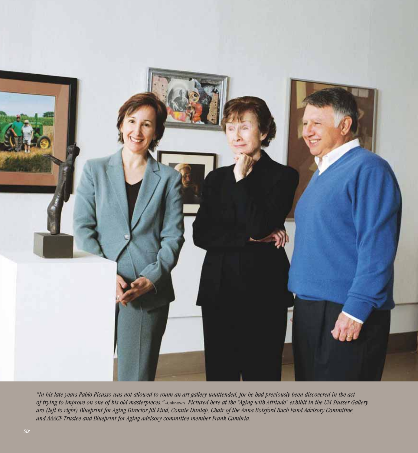

*"In his late years Pablo Picasso was not allowed to roam an art gallery unattended, for he had previously been discovered in the act of trying to improve on one of his old masterpieces."*–Unknown *Pictured here at the "Aging with Attitude" exhibit in the UM Slusser Gallery are (left to right) Blueprint for Aging Director Jill Kind, Connie Dunlap, Chair of the Anna Botsford Bach Fund Advisory Committee, and AAACF Trustee and Blueprint for Aging advisory committee member Frank Cambria.*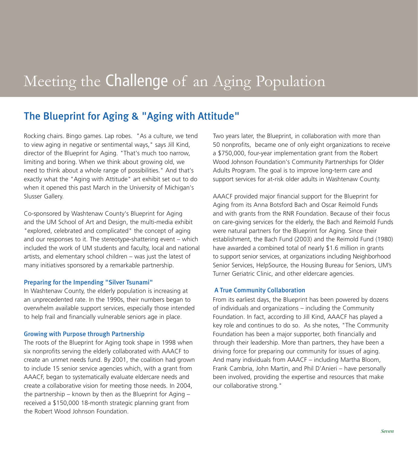# Meeting the Challenge of an Aging Population

#### The Blueprint for Aging & "Aging with Attitude"

Rocking chairs. Bingo games. Lap robes. "As a culture, we tend to view aging in negative or sentimental ways," says Jill Kind, director of the Blueprint for Aging. "That's much too narrow, limiting and boring. When we think about growing old, we need to think about a whole range of possibilities." And that's exactly what the "Aging with Attitude" art exhibit set out to do when it opened this past March in the University of Michigan's Slusser Gallery.

Co-sponsored by Washtenaw County's Blueprint for Aging and the UM School of Art and Design, the multi-media exhibit "explored, celebrated and complicated" the concept of aging and our responses to it. The stereotype-shattering event – which included the work of UM students and faculty, local and national artists, and elementary school children – was just the latest of many initiatives sponsored by a remarkable partnership.

#### Preparing for the Impending "Silver Tsunami"

In Washtenaw County, the elderly population is increasing at an unprecedented rate. In the 1990s, their numbers began to overwhelm available support services, especially those intended to help frail and financially vulnerable seniors age in place.

#### Growing with Purpose through Partnership

The roots of the Blueprint for Aging took shape in 1998 when six nonprofits serving the elderly collaborated with AAACF to create an unmet needs fund. By 2001, the coalition had grown to include 15 senior service agencies which, with a grant from AAACF, began to systematically evaluate eldercare needs and create a collaborative vision for meeting those needs. In 2004, the partnership – known by then as the Blueprint for Aging – received a \$150,000 18-month strategic planning grant from the Robert Wood Johnson Foundation.

Two years later, the Blueprint, in collaboration with more than 50 nonprofits, became one of only eight organizations to receive a \$750,000, four-year implementation grant from the Robert Wood Johnson Foundation's Community Partnerships for Older Adults Program. The goal is to improve long-term care and support services for at-risk older adults in Washtenaw County.

AAACF provided major financial support for the Blueprint for Aging from its Anna Botsford Bach and Oscar Reimold Funds and with grants from the RNR Foundation. Because of their focus on care-giving services for the elderly, the Bach and Reimold Funds were natural partners for the Blueprint for Aging. Since their establishment, the Bach Fund (2003) and the Reimold Fund (1980) have awarded a combined total of nearly \$1.6 million in grants to support senior services, at organizations including Neighborhood Senior Services, HelpSource, the Housing Bureau for Seniors, UM's Turner Geriatric Clinic, and other eldercare agencies.

#### A True Community Collaboration

From its earliest days, the Blueprint has been powered by dozens of individuals and organizations – including the Community Foundation. In fact, according to Jill Kind, AAACF has played a key role and continues to do so. As she notes, "The Community Foundation has been a major supporter, both financially and through their leadership. More than partners, they have been a driving force for preparing our community for issues of aging. And many individuals from AAACF – including Martha Bloom, Frank Cambria, John Martin, and Phil D'Anieri – have personally been involved, providing the expertise and resources that make our collaborative strong."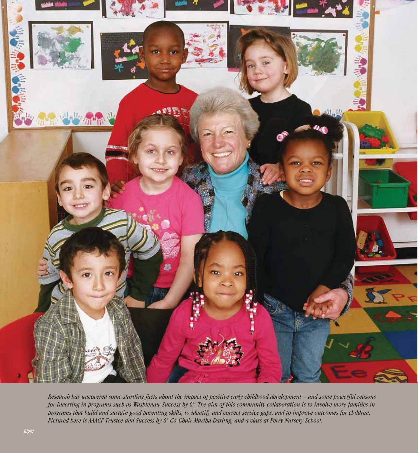

*Research has uncovered some startling facts about the impact of positive early childhood development – and some powerful reasons for investing in programs such as Washtenaw Success by 6® . The aim of this community collaboration is to involve more families in programs that build and sustain good parenting skills, to identify and correct service gaps, and to improve outcomes for children. Pictured here is AAACF Trustee and Success by 6® Co-Chair Martha Darling, and a class at Perry Nursery School.*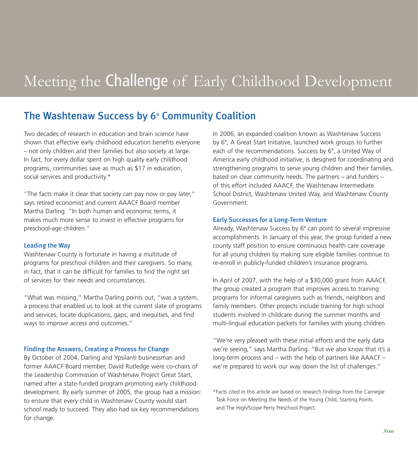# Meeting the Challenge of Early Childhood Development

#### The Washtenaw Success by 6® Community Coalition

Two decades of research in education and brain science have shown that effective early childhood education benefits everyone – not only children and their families but also society at large. In fact, for every dollar spent on high quality early childhood programs, communities save as much as \$17 in education, social services and productivity.\*

"The facts make it clear that society can pay now or pay later," says retired economist and current AAACF Board member Martha Darling. "In both human and economic terms, it makes much more sense to invest in effective programs for preschool-age children."

#### Leading the Way

Washtenaw County is fortunate in having a multitude of programs for preschool children and their caregivers. So many, in fact, that it can be difficult for families to find the right set of services for their needs and circumstances.

"What was missing," Martha Darling points out, "was a system, a process that enabled us to look at the current slate of programs and services, locate duplications, gaps, and inequities, and find ways to improve access and outcomes."

#### Finding the Answers, Creating a Process for Change

By October of 2004, Darling and Ypsilanti businessman and former AAACF Board member, David Rutledge were co-chairs of the Leadership Commission of Washtenaw Project Great Start, named after a state-funded program promoting early childhood development. By early summer of 2005, the group had a mission: to ensure that every child in Washtenaw County would start school ready to succeed. They also had six key recommendations for change.

In 2006, an expanded coalition known as Washtenaw Success by 6® , A Great Start Initiative, launched work groups to further each of the recommendations. Success by 6® , a United Way of America early childhood initiative, is designed for coordinating and strengthening programs to serve young children and their families, based on clear community needs. The partners – and funders – of this effort included AAACF, the Washtenaw Intermediate School District, Washtenaw United Way, and Washtenaw County Government.

#### Early Successes for a Long-Term Venture

Already, Washtenaw Success by 6® can point to several impressive accomplishments. In January of this year, the group funded a new county staff position to ensure continuous health care coverage for all young children by making sure eligible families continue to re-enroll in publicly-funded children's insurance programs.

In April of 2007, with the help of a \$30,000 grant from AAACF, the group created a program that improves access to training programs for informal caregivers such as friends, neighbors and family members. Other projects include training for high school students involved in childcare during the summer months and multi-lingual education packets for families with young children.

"We're very pleased with these initial efforts and the early data we're seeing," says Martha Darling. "But we also know that it's a long-term process and – with the help of partners like AAACF – we're prepared to work our way down the list of challenges."

\*Facts cited in this article are based on research findings from the Carnegie Task Force on Meeting the Needs of the Young Child, Starting Points and The High/Scope Perry Preschool Project.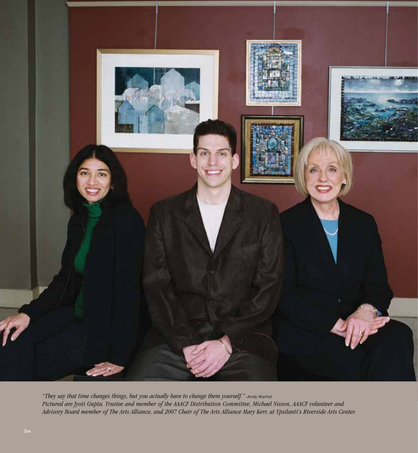

*"They say that time changes things, but you actually have to change them yourself."*–Andy Warhol *Pictured are Jyoti Gupta, Trustee and member of the AAACF Distribution Committee, Michael Nisson, AAACF volunteer and Advisory Board member of The Arts Alliance, and 2007 Chair of The Arts Alliance Mary Kerr, at Ypsilanti's Riverside Arts Center.*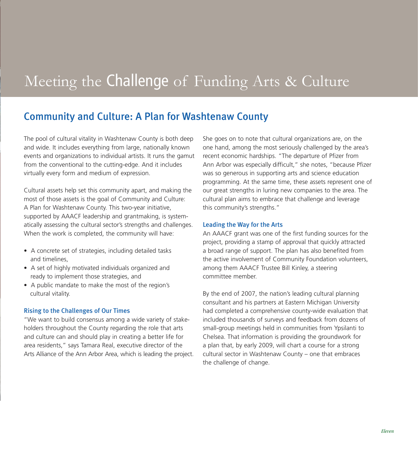# Meeting the Challenge of Funding Arts & Culture

#### Community and Culture: A Plan for Washtenaw County

The pool of cultural vitality in Washtenaw County is both deep and wide. It includes everything from large, nationally known events and organizations to individual artists. It runs the gamut from the conventional to the cutting-edge. And it includes virtually every form and medium of expression.

Cultural assets help set this community apart, and making the most of those assets is the goal of Community and Culture: A Plan for Washtenaw County. This two-year initiative, supported by AAACF leadership and grantmaking, is systematically assessing the cultural sector's strengths and challenges. When the work is completed, the community will have:

- A concrete set of strategies, including detailed tasks and timelines,
- A set of highly motivated individuals organized and ready to implement those strategies, and
- A public mandate to make the most of the region's cultural vitality.

#### Rising to the Challenges of Our Times

"We want to build consensus among a wide variety of stakeholders throughout the County regarding the role that arts and culture can and should play in creating a better life for area residents," says Tamara Real, executive director of the Arts Alliance of the Ann Arbor Area, which is leading the project.

She goes on to note that cultural organizations are, on the one hand, among the most seriously challenged by the area's recent economic hardships. "The departure of Pfizer from Ann Arbor was especially difficult," she notes, "because Pfizer was so generous in supporting arts and science education programming. At the same time, these assets represent one of our great strengths in luring new companies to the area. The cultural plan aims to embrace that challenge and leverage this community's strengths."

#### Leading the Way for the Arts

An AAACF grant was one of the first funding sources for the project, providing a stamp of approval that quickly attracted a broad range of support. The plan has also benefited from the active involvement of Community Foundation volunteers, among them AAACF Trustee Bill Kinley, a steering committee member.

By the end of 2007, the nation's leading cultural planning consultant and his partners at Eastern Michigan University had completed a comprehensive county-wide evaluation that included thousands of surveys and feedback from dozens of small-group meetings held in communities from Ypsilanti to Chelsea. That information is providing the groundwork for a plan that, by early 2009, will chart a course for a strong cultural sector in Washtenaw County – one that embraces the challenge of change.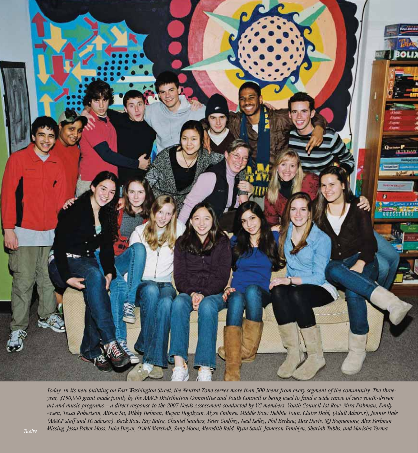

*Today, in its new building on East Washington Street, the Neutral Zone serves more than 500 teens from every segment of the community. The threeyear, \$150,000 grant made jointly by the AAACF Distribution Committee and Youth Council is being used to fund a wide range of new youth-driven art and music programs – a direct response to the 2007 Needs Assessment conducted by YC members. Youth Council 1st Row: Mira Fishman, Emily Arsen, Tessa Robertson, Alison Su, Mikky Helman, Megan Hogikyan, Alyse Embree. Middle Row: Debbie Youn, Claire Dahl, (Adult Advisor), Jennie Hale (AAACF staff and YC advisor). Back Row: Ray Batra, Chantel Sanders, Peter Godfrey, Neal Kelley, Phil Berkaw, Max Davis, SQ Roquemore, Alex Perlman. Missing: Jessa Baker Moss, Luke Dwyer, O'dell Marshall, Sang Moon, Meredith Reid, Ryan Sanii, Jameson Tamblyn, Shariah Tubbs, and Marisha Verma. Twelve*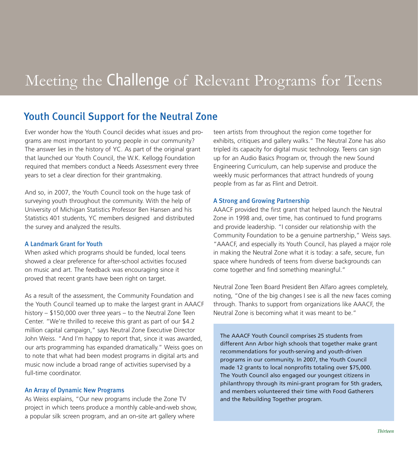# Meeting the Challenge of Relevant Programs for Teens

#### Youth Council Support for the Neutral Zone

Ever wonder how the Youth Council decides what issues and programs are most important to young people in our community? The answer lies in the history of YC. As part of the original grant that launched our Youth Council, the W.K. Kellogg Foundation required that members conduct a Needs Assessment every three years to set a clear direction for their grantmaking.

And so, in 2007, the Youth Council took on the huge task of surveying youth throughout the community. With the help of University of Michigan Statistics Professor Ben Hansen and his Statistics 401 students, YC members designed and distributed the survey and analyzed the results.

#### A Landmark Grant for Youth

When asked which programs should be funded, local teens showed a clear preference for after-school activities focused on music and art. The feedback was encouraging since it proved that recent grants have been right on target.

As a result of the assessment, the Community Foundation and the Youth Council teamed up to make the largest grant in AAACF history – \$150,000 over three years – to the Neutral Zone Teen Center. "We're thrilled to receive this grant as part of our \$4.2 million capital campaign," says Neutral Zone Executive Director John Weiss. "And I'm happy to report that, since it was awarded, our arts programming has expanded dramatically." Weiss goes on to note that what had been modest programs in digital arts and music now include a broad range of activities supervised by a full-time coordinator.

#### An Array of Dynamic New Programs

As Weiss explains, "Our new programs include the Zone TV project in which teens produce a monthly cable-and-web show, a popular silk screen program, and an on-site art gallery where

teen artists from throughout the region come together for exhibits, critiques and gallery walks." The Neutral Zone has also tripled its capacity for digital music technology. Teens can sign up for an Audio Basics Program or, through the new Sound Engineering Curriculum, can help supervise and produce the weekly music performances that attract hundreds of young people from as far as Flint and Detroit.

#### A Strong and Growing Partnership

AAACF provided the first grant that helped launch the Neutral Zone in 1998 and, over time, has continued to fund programs and provide leadership. "I consider our relationship with the Community Foundation to be a genuine partnership," Weiss says. "AAACF, and especially its Youth Council, has played a major role in making the Neutral Zone what it is today: a safe, secure, fun space where hundreds of teens from diverse backgrounds can come together and find something meaningful."

Neutral Zone Teen Board President Ben Alfaro agrees completely, noting, "One of the big changes I see is all the new faces coming through. Thanks to support from organizations like AAACF, the Neutral Zone is becoming what it was meant to be."

The AAACF Youth Council comprises 25 students from different Ann Arbor high schools that together make grant recommendations for youth-serving and youth-driven programs in our community. In 2007, the Youth Council made 12 grants to local nonprofits totaling over \$75,000. The Youth Council also engaged our youngest citizens in philanthropy through its mini-grant program for 5th graders, and members volunteered their time with Food Gatherers and the Rebuilding Together program.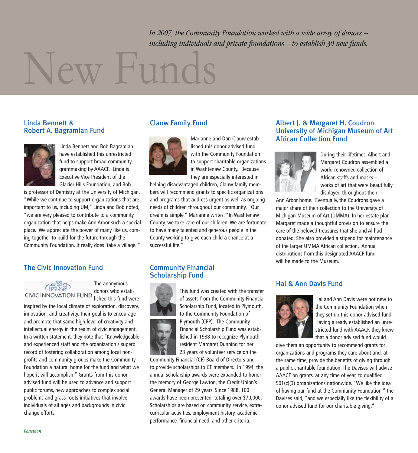*In 2007, the Community Foundation worked with a wide array of donors – including individuals and private foundations – to establish 30 new funds.* 

# New Funds

#### Linda Bennett & Robert A. Bagramian Fund



Linda Bennett and Bob Bagramian have established this unrestricted fund to support broad community grantmaking by AAACF. Linda is Executive Vice President of the Glacier Hills Foundation, and Bob

is professor of Dentistry at the University of Michigan. "While we continue to support organizations that are important to us, including UM," Linda and Bob noted, "we are very pleased to contribute to a community organization that helps make Ann Arbor such a special place. We appreciate the power of many like us, coming together to build for the future through the Community Foundation. It really does 'take a village.'"

#### The Civic Innovation Fund

The anonymous donors who established this fund were

inspired by the local climate of exploration, discovery, innovation, and creativity. Their goal is to encourage and promote that same high level of creativity and intellectual energy in the realm of civic engagement. In a written statement, they note that "Knowledgeable and experienced staff and the organization's superb record of fostering collaboration among local nonprofits and community groups make the Community Foundation a natural home for the fund and what we hope it will accomplish." Grants from this donor advised fund will be used to advance and support public forums, new approaches to complex social problems and grass-roots initiatives that involve individuals of all ages and backgrounds in civic change efforts.

#### Clauw Family Fund



Marianne and Dan Clauw established this donor advised fund with the Community Foundation to support charitable organizations in Washtenaw County. Because they are especially interested in

helping disadvantaged children, Clauw family members will recommend grants to specific organizations and programs that address urgent as well as ongoing needs of children throughout our community. "Our dream is simple," Marianne writes. "In Washtenaw County, we take care of our children. We are fortunate to have many talented and generous people in the County working to give each child a chance at a successful life."

#### Community Financial Scholarship Fund



This fund was created with the transfer of assets from the Community Financial Scholarship Fund, located in Plymouth, to the Community Foundation of Plymouth (CFP). The Community Financial Scholarship Fund was established in 1988 to recognize Plymouth resident Margaret Dunning for her 23 years of volunteer service on the

Community Financial (CF) Board of Directors and to provide scholarships to CF members. In 1994, the annual scholarship awards were expanded to honor the memory of George Lawton, the Credit Union's General Manager of 29 years. Since 1988, 100 awards have been presented, totaling over \$70,000. Scholarships are based on community service, extracurricular activities, employment history, academic performance, financial need, and other criteria.

#### Albert J. & Margaret H. Coudron University of Michigan Museum of Art African Collection Fund



During their lifetimes, Albert and Margaret Coudron assembled a world-renowned collection of African staffs and masks – works of art that were beautifully displayed throughout their

Ann Arbor home. Eventually, the Coudrons gave a major share of their collection to the University of Michigan Museum of Art (UMMA). In her estate plan, Margaret made a thoughtful provision to ensure the care of the beloved treasures that she and Al had donated. She also provided a stipend for maintenance of the larger UMMA African collection. Annual distributions from this designated AAACF fund will be made to the Museum.

#### Hal & Ann Davis Fund



Hal and Ann Davis were not new to the Community Foundation when they set up this donor advised fund. Having already established an unrestricted fund with AAACF, they knew that a donor advised fund would

give them an opportunity to recommend grants for organizations and programs they care about and, at the same time, provide the benefits of giving through a public charitable foundation. The Davises will advise AAACF on grants, at any time of year, to qualified 501(c)(3) organizations nationwide. "We like the idea of having our fund at the Community Foundation," the Davises said, "and we especially like the flexibility of a donor advised fund for our charitable giving."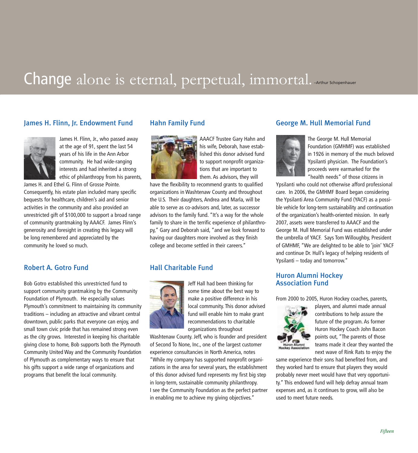# Change alone is eternal, perpetual, immortal. Arthur Schopenhauer

#### James H. Flinn, Jr. Endowment Fund



James H. Flinn, Jr., who passed away at the age of 91, spent the last 54 years of his life in the Ann Arbor community. He had wide-ranging interests and had inherited a strong ethic of philanthropy from his parents,

James H. and Ethel G. Flinn of Grosse Pointe. Consequently, his estate plan included many specific bequests for healthcare, children's aid and senior activities in the community and also provided an unrestricted gift of \$100,000 to support a broad range of community grantmaking by AAACF. James Flinn's generosity and foresight in creating this legacy will be long remembered and appreciated by the community he loved so much.

#### Robert A. Gotro Fund

Bob Gotro established this unrestricted fund to support community grantmaking by the Community Foundation of Plymouth. He especially values Plymouth's commitment to maintaining its community traditions – including an attractive and vibrant central downtown, public parks that everyone can enjoy, and small town civic pride that has remained strong even as the city grows. Interested in keeping his charitable giving close to home, Bob supports both the Plymouth Community United Way and the Community Foundation of Plymouth as complementary ways to ensure that his gifts support a wide range of organizations and programs that benefit the local community.

#### Hahn Family Fund



AAACF Trustee Gary Hahn and his wife, Deborah, have established this donor advised fund to support nonprofit organizations that are important to them. As advisors, they will

have the flexibility to recommend grants to qualified organizations in Washtenaw County and throughout the U.S. Their daughters, Andrea and Marla, will be able to serve as co-advisors and, later, as successor advisors to the family fund. "It's a way for the whole family to share in the terrific experience of philanthropy," Gary and Deborah said, "and we look forward to having our daughters more involved as they finish college and become settled in their careers."

#### Hall Charitable Fund



Jeff Hall had been thinking for some time about the best way to make a positive difference in his local community. This donor advised fund will enable him to make grant recommendations to charitable organizations throughout

Washtenaw County. Jeff, who is founder and president of Second To None, Inc., one of the largest customer experience consultancies in North America, notes "While my company has supported nonprofit organizations in the area for several years, the establishment of this donor advised fund represents my first big step in long-term, sustainable community philanthropy. I see the Community Foundation as the perfect partner in enabling me to achieve my giving objectives."

#### George M. Hull Memorial Fund



The George M. Hull Memorial Foundation (GMHMF) was established in 1926 in memory of the much beloved Ypsilanti physician. The Foundation's proceeds were earmarked for the "health needs" of those citizens in

Ypsilanti who could not otherwise afford professional care. In 2006, the GMHMF Board began considering the Ypsilanti Area Community Fund (YACF) as a possible vehicle for long-term sustainability and continuation of the organization's health-oriented mission. In early 2007, assets were transferred to AAACF and the George M. Hull Memorial Fund was established under the umbrella of YACF. Says Tom Willoughby, President of GMHMF, "We are delighted to be able to 'join' YACF and continue Dr. Hull's legacy of helping residents of Ypsilanti – today and tomorrow."

#### Huron Alumni Hockey Association Fund

From 2000 to 2005, Huron Hockey coaches, parents,



players, and alumni made annual contributions to help assure the future of the program. As former Huron Hockey Coach John Bacon points out, "The parents of those teams made it clear they wanted the next wave of Rink Rats to enjoy the

same experience their sons had benefited from, and they worked hard to ensure that players they would probably never meet would have that very opportunity." This endowed fund will help defray annual team expenses and, as it continues to grow, will also be used to meet future needs.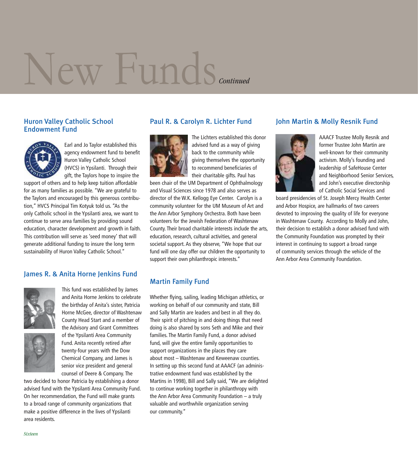# New Funds *Continued*

#### Huron Valley Catholic School Endowment Fund



Earl and Jo Taylor established this agency endowment fund to benefit Huron Valley Catholic School (HVCS) in Ypsilanti. Through their gift, the Taylors hope to inspire the

support of others and to help keep tuition affordable for as many families as possible. "We are grateful to the Taylors and encouraged by this generous contribution," HVCS Principal Tim Kotyuk told us. "As the only Catholic school in the Ypsilanti area, we want to continue to serve area families by providing sound education, character development and growth in faith. This contribution will serve as 'seed money' that will generate additional funding to insure the long term sustainability of Huron Valley Catholic School."

#### James R. & Anita Horne Jenkins Fund



the birthday of Anita's sister, Patricia Horne McGee, director of Washtenaw County Head Start and a member of the Advisory and Grant Committees of the Ypsilanti Area Community Fund. Anita recently retired after twenty-four years with the Dow Chemical Company, and James is senior vice president and general counsel of Deere & Company. The

This fund was established by James and Anita Horne Jenkins to celebrate

two decided to honor Patricia by establishing a donor advised fund with the Ypsilanti Area Community Fund. On her recommendation, the Fund will make grants to a broad range of community organizations that make a positive difference in the lives of Ypsilanti area residents.

#### Paul R. & Carolyn R. Lichter Fund



The Lichters established this donor advised fund as a way of giving back to the community while giving themselves the opportunity to recommend beneficiaries of their charitable gifts. Paul has

been chair of the UM Department of Ophthalmology and Visual Sciences since 1978 and also serves as director of the W.K. Kellogg Eye Center. Carolyn is a community volunteer for the UM Museum of Art and the Ann Arbor Symphony Orchestra. Both have been volunteers for the Jewish Federation of Washtenaw County. Their broad charitable interests include the arts, education, research, cultural activities, and general societal support. As they observe, "We hope that our fund will one day offer our children the opportunity to support their own philanthropic interests."

#### Martin Family Fund

Whether flying, sailing, leading Michigan athletics, or working on behalf of our community and state, Bill and Sally Martin are leaders and best in all they do. Their spirit of pitching in and doing things that need doing is also shared by sons Seth and Mike and their families. The Martin Family Fund, a donor advised fund, will give the entire family opportunities to support organizations in the places they care about most – Washtenaw and Keweenaw counties. In setting up this second fund at AAACF (an administrative endowment fund was established by the Martins in 1998), Bill and Sally said, "We are delighted to continue working together in philanthropy with the Ann Arbor Area Community Foundation – a truly valuable and worthwhile organization serving our community."

#### John Martin & Molly Resnik Fund



AAACF Trustee Molly Resnik and former Trustee John Martin are well-known for their community activism. Molly's founding and leadership of SafeHouse Center and Neighborhood Senior Services, and John's executive directorship of Catholic Social Services and

board presidencies of St. Joseph Mercy Health Center and Arbor Hospice, are hallmarks of two careers devoted to improving the quality of life for everyone in Washtenaw County. According to Molly and John, their decision to establish a donor advised fund with the Community Foundation was prompted by their interest in continuing to support a broad range of community services through the vehicle of the Ann Arbor Area Community Foundation.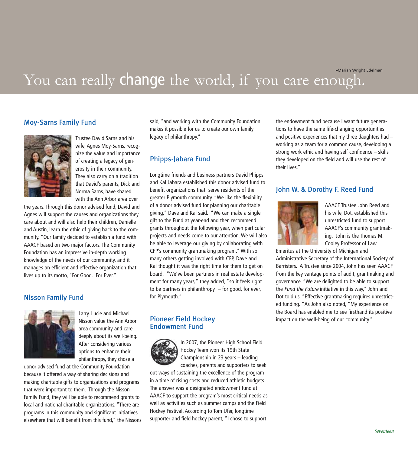–Marian Wright Edelman

### You can really change the world, if you care enough.

#### Moy-Sarns Family Fund



Trustee David Sarns and his wife, Agnes Moy-Sarns, recognize the value and importance of creating a legacy of generosity in their community. They also carry on a tradition that David's parents, Dick and Norma Sarns, have shared with the Ann Arbor area over

the years. Through this donor advised fund, David and Agnes will support the causes and organizations they care about and will also help their children, Danielle and Austin, learn the ethic of giving back to the community. "Our family decided to establish a fund with AAACF based on two major factors. The Community Foundation has an impressive in-depth working knowledge of the needs of our community, and it manages an efficient and effective organization that lives up to its motto, "For Good. For Ever."

#### Nisson Family Fund



Larry, Lucie and Michael Nisson value the Ann Arbor area community and care deeply about its well-being. After considering various options to enhance their philanthropy, they chose a

donor advised fund at the Community Foundation because it offered a way of sharing decisions and making charitable gifts to organizations and programs that were important to them. Through the Nisson Family Fund, they will be able to recommend grants to local and national charitable organizations. "There are programs in this community and significant initiatives elsewhere that will benefit from this fund," the Nissons

said, "and working with the Community Foundation makes it possible for us to create our own family legacy of philanthropy."

#### Phipps-Jabara Fund

Longtime friends and business partners David Phipps and Kal Jabara established this donor advised fund to benefit organizations that serve residents of the greater Plymouth community. "We like the flexibility of a donor advised fund for planning our charitable giving," Dave and Kal said. "We can make a single gift to the Fund at year-end and then recommend grants throughout the following year, when particular projects and needs come to our attention. We will also be able to leverage our giving by collaborating with CFP's community grantmaking program." With so many others getting involved with CFP, Dave and Kal thought it was the right time for them to get on board. "We've been partners in real estate development for many years," they added, "so it feels right to be partners in philanthropy  $-$  for good, for ever, for Plymouth."

#### Pioneer Field Hockey Endowment Fund



In 2007, the Pioneer High School Field Hockey Team won its 19th State Championship in 23 years – leading coaches, parents and supporters to seek

out ways of sustaining the excellence of the program in a time of rising costs and reduced athletic budgets. The answer was a designated endowment fund at AAACF to support the program's most critical needs as well as activities such as summer camps and the Field Hockey Festival. According to Tom Ufer, longtime supporter and field hockey parent, "I chose to support

the endowment fund because I want future generations to have the same life-changing opportunities and positive experiences that my three daughters had – working as a team for a common cause, developing a strong work ethic and having self confidence – skills they developed on the field and will use the rest of their lives."

#### John W. & Dorothy F. Reed Fund



AAACF Trustee John Reed and his wife, Dot, established this unrestricted fund to support AAACF's community grantmaking. John is the Thomas M. Cooley Professor of Law

Emeritus at the University of Michigan and Administrative Secretary of the International Society of Barristers. A Trustee since 2004, John has seen AAACF from the key vantage points of audit, grantmaking and governance. "We are delighted to be able to support the Fund the Future initiative in this way," John and Dot told us. "Effective grantmaking requires unrestricted funding. "As John also noted, "My experience on the Board has enabled me to see firsthand its positive impact on the well-being of our community."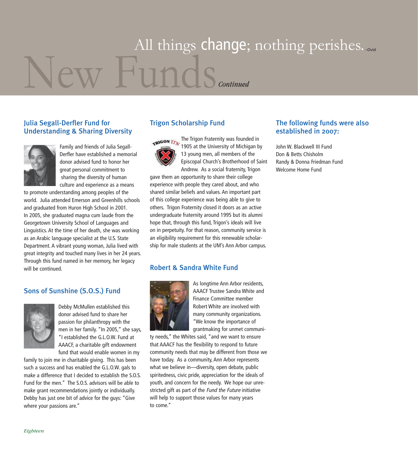# New Funds All things change; nothing perishes... *Continued*

#### Julia Segall-Derfler Fund for Understanding & Sharing Diversity



Family and friends of Julia Segall-Derfler have established a memorial donor advised fund to honor her great personal commitment to sharing the diversity of human culture and experience as a means

to promote understanding among peoples of the world. Julia attended Emerson and Greenhills schools and graduated from Huron High School in 2001. In 2005, she graduated magna cum laude from the Georgetown University School of Languages and Linguistics. At the time of her death, she was working as an Arabic language specialist at the U.S. State Department. A vibrant young woman, Julia lived with great integrity and touched many lives in her 24 years. Through this fund named in her memory, her legacy will be continued.

#### Sons of Sunshine (S.O.S.) Fund



Debby McMullen established this donor advised fund to share her passion for philanthropy with the men in her family. "In 2005," she says, "I established the G.L.O.W. Fund at AAACF, a charitable gift endowment fund that would enable women in my

family to join me in charitable giving. This has been such a success and has enabled the G.L.O.W. gals to make a difference that I decided to establish the S.O.S. Fund for the men." The S.O.S. advisors will be able to make grant recommendations jointly or individually. Debby has just one bit of advice for the guys: "Give where your passions are."

#### Trigon Scholarship Fund

The Trigon Fraternity was founded in TRIGON TEN 1905 at the University of Michigan by 13 young men, all members of the Episcopal Church's Brotherhood of Saint Andrew. As a social fraternity, Trigon

gave them an opportunity to share their college experience with people they cared about, and who shared similar beliefs and values. An important part of this college experience was being able to give to others. Trigon Fraternity closed it doors as an active undergraduate fraternity around 1995 but its alumni hope that, through this fund, Trigon's ideals will live on in perpetuity. For that reason, community service is an eligibility requirement for this renewable scholarship for male students at the UM's Ann Arbor campus.

#### Robert & Sandra White Fund



As longtime Ann Arbor residents, AAACF Trustee Sandra White and Finance Committee member Robert White are involved with many community organizations. "We know the importance of grantmaking for unmet communi-

ty needs," the Whites said, "and we want to ensure that AAACF has the flexibility to respond to future community needs that may be different from those we have today. As a community, Ann Arbor represents what we believe in—diversity, open debate, public spiritedness, civic pride, appreciation for the ideals of youth, and concern for the needy. We hope our unrestricted gift as part of the Fund the Future initiative will help to support those values for many years to come."

#### The following funds were also established in 2007:

John W. Blackwell III Fund Don & Betts Chisholm Randy & Donna Friedman Fund Welcome Home Fund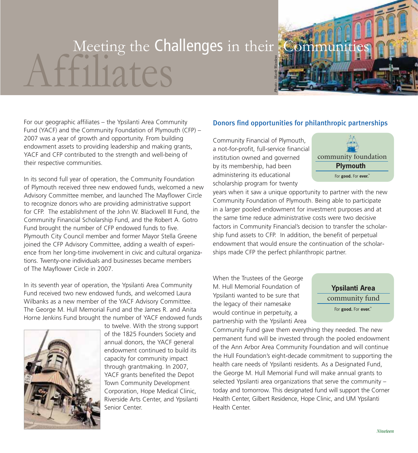# Meeting the Challenges in their Communities *Photo - Mark Wanless*

For our geographic affiliates – the Ypsilanti Area Community Fund (YACF) and the Community Foundation of Plymouth (CFP) – 2007 was a year of growth and opportunity. From building endowment assets to providing leadership and making grants, YACF and CFP contributed to the strength and well-being of their respective communities.

In its second full year of operation, the Community Foundation of Plymouth received three new endowed funds, welcomed a new Advisory Committee member, and launched The Mayflower Circle to recognize donors who are providing administrative support for CFP. The establishment of the John W. Blackwell III Fund, the Community Financial Scholarship Fund, and the Robert A. Gotro Fund brought the number of CFP endowed funds to five. Plymouth City Council member and former Mayor Stella Greene joined the CFP Advisory Committee, adding a wealth of experience from her long-time involvement in civic and cultural organizations. Twenty-one individuals and businesses became members of The Mayflower Circle in 2007.

In its seventh year of operation, the Ypsilanti Area Community Fund received two new endowed funds, and welcomed Laura Wilbanks as a new member of the YACF Advisory Committee. The George M. Hull Memorial Fund and the James R. and Anita Horne Jenkins Fund brought the number of YACF endowed funds



to twelve. With the strong support of the 1825 Founders Society and annual donors, the YACF general endowment continued to build its capacity for community impact through grantmaking. In 2007, YACF grants benefited the Depot Town Community Development Corporation, Hope Medical Clinic, Riverside Arts Center, and Ypsilanti Senior Center.

#### Donors find opportunities for philanthropic partnerships

Community Financial of Plymouth, a not-for-profit, full-service financial institution owned and governed by its membership, had been administering its educational scholarship program for twenty



years when it saw a unique opportunity to partner with the new Community Foundation of Plymouth. Being able to participate in a larger pooled endowment for investment purposes and at the same time reduce administrative costs were two decisive factors in Community Financial's decision to transfer the scholarship fund assets to CFP. In addition, the benefit of perpetual endowment that would ensure the continuation of the scholarships made CFP the perfect philanthropic partner.

When the Trustees of the George M. Hull Memorial Foundation of Ypsilanti wanted to be sure that the legacy of their namesake would continue in perpetuity, a partnership with the Ypsilanti Area

**Ypsilanti Area** community fund For **good.** For **ever.**<sup>"</sup>

Community Fund gave them everything they needed. The new permanent fund will be invested through the pooled endowment of the Ann Arbor Area Community Foundation and will continue the Hull Foundation's eight-decade commitment to supporting the health care needs of Ypsilanti residents. As a Designated Fund, the George M. Hull Memorial Fund will make annual grants to selected Ypsilanti area organizations that serve the community – today and tomorrow. This designated fund will support the Corner Health Center, Gilbert Residence, Hope Clinic, and UM Ypsilanti Health Center.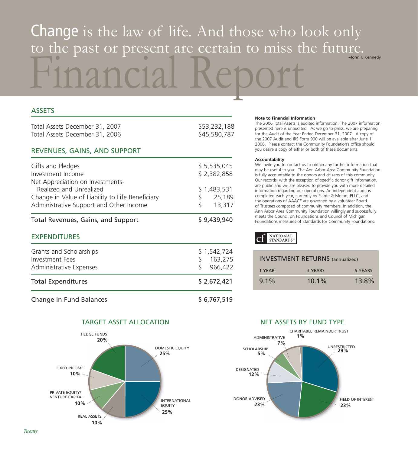# Financial Report Change is the law of life. And those who look only to the past or present are certain to miss the future.

#### **ASSETS** Total Assets December 31, 2007 **\$53,232,188** Total Assets December 31, 2006 \$45,580,787 REVENUES, GAINS, AND SUPPORT Gifts and Pledges \$ 5,535,045 Investment Income \$ 2,382,858 Net Appreciation on Investments-Realized and Unrealized **\$** 1,483,531 Change in Value of Liability to Life Beneficiary  $$325,189$ Administrative Support and Other Income  $$3,317$ Total Revenues, Gains, and Support \$ 9,439,940 EXPENDITURES Grants and Scholarships  $$1,542,724$ Investment Fees \$ 163,275 Administrative Expenses  $$966.422$ Total Expenditures  $$2,672,421$

Change in Fund Balances \$ 6,767,519



#### TARGET ASSET ALLOCATION NET ASSETS BY FUND TYPE

#### **Note to Financial Information**

The 2006 Total Assets is audited information. The 2007 information presented here is unaudited. As we go to press, we are preparing for the Audit of the Year Ended December 31, 2007. A copy of the 2007 Audit and IRS Form 990 will be available after June 1, 2008. Please contact the Community Foundation's office should you desire a copy of either or both of these documents.

#### **Accountability**

We invite you to contact us to obtain any further information that may be useful to you. The Ann Arbor Area Community Foundation is fully accountable to the donors and citizens of this community. Our records, with the exception of specific donor gift information, are public and we are pleased to provide you with more detailed information regarding our operations. An independent audit is completed each year, currently by Plante & Moran, PLLC, and the operations of AAACF are governed by a volunteer Board of Trustees composed of community members. In addition, the Ann Arbor Area Community Foundation willingly and successfully meets the Council on Foundations and Council of Michigan Foundations measures of Standards for Community Foundations.

#### **NATIONAL** STANDARDS

| <b>INVESTMENT RETURNS</b> (annualized) |          |         |
|----------------------------------------|----------|---------|
| 1 YEAR                                 | 3 YFARS  | 5 YFARS |
| $9.1\%$                                | $10.1\%$ | 13.8%   |

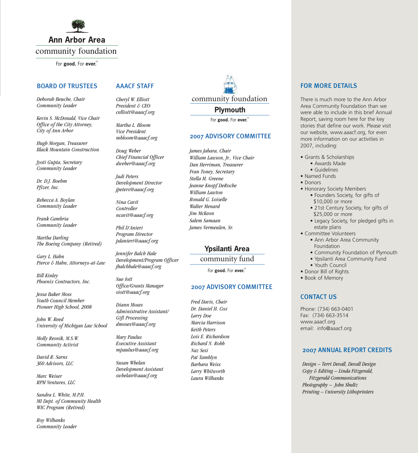

For **good.** For **ever.** 

#### BOARD OF TRUSTEES

*Deborah Beuche, Chair Community Leader*

*Kevin S. McDonald, Vice Chair Office of the City Attorney, City of Ann Arbor*

*Hugh Morgan, Treasurer Black Mountain Construction*

*Jyoti Gupta, Secretary Community Leader*

*Dr. D.J. Boehm Pfizer, Inc.*

*Rebecca A. Boylan Community Leader*

*Frank Cambria Community Leader*

*Martha Darling The Boeing Company (Retired)*

*Gary L. Hahn Pierce & Hahn, Attorneys-at-Law*

*Bill Kinley Phoenix Contractors, Inc.*

*Jessa Baker Moss Youth Council Member Pioneer High School, 2008*

*John W. Reed University of Michigan Law School*

*Molly Resnik, M.S.W. Community Activist*

*David R. Sarns 360 Advisors, LLC*

*Marc Weiser RPM Ventures, LLC*

*Sandra L. White, M.P.H. MI Dept. of Community Health WIC Program (Retired)*

*Roy Wilbanks Community Leader*

#### AAACF STAFF

*Cheryl W. Elliott President & CEO celliott@aaacf.org*

*Martha L. Bloom Vice President mbloom@aaacf.org*

*Doug Weber Chief Financial Officer dweber@aaacf.org*

*Judi Peters Development Director jpeters@aaacf.org*

*Nina Cavit Controller ncavit@aaacf.org*

*Phil D'Anieri Program Director pdanieri@aaacf.org* 

*Jennifer Balch Hale Development/Program Officer jbalchhale@aaacf.org*

*Sue Iott Office/Grants Manager siott@aaacf.org*

*Diann Moses Administrative Assistant/ Gift Processing dmoses@aaacf.org*

*Mary Paulus Executive Assistant mpaulus@aaacf.org*

*Susan Whelan Development Assistant swhelan@aaacf.org*

community foundation

**Plymouth**

For good. For ever.

#### 2007 ADVISORY COMMITTEE

*James Jabara, Chair William Lawson, Jr., Vice Chair Dan Herriman, Treasurer Fran Toney, Secretary Stella M. Greene Jeanne Knopf DeRoche William Lawton Ronald G. Loiselle Walter Menard Jim McKeon Salem Samaan James Vermeulen, Sr.* 

#### **Ypsilanti Area**

#### community fund

For **good.** For **ever.** 

#### 2007 ADVISORY COMMITTEE

*Fred Davis, Chair Dr. Daniel H. Cox Larry Doe Marcia Harrison Keith Peters Lois E. Richardson Richard N. Robb Naz Sesi Pat Tamblyn Barbara Weiss Larry Whitworth Laura Wilbanks*

#### FOR MORE DETAILS

There is much more to the Ann Arbor Area Community Foundation than we were able to include in this brief Annual Report, saving room here for the key stories that define our work. Please visit our website, www.aaacf.org, for even more information on our activities in 2007, including:

- Grants & Scholarships
	- Awards Made
- Guidelines
- Named Funds
- Donors
- Honorary Society Members
	- Founders Society, for gifts of \$10,000 or more
	- 21st Century Society, for gifts of \$25,000 or more
	- Legacy Society, for pledged gifts in estate plans
- Committee Volunteers
	- Ann Arbor Area Community Foundation
	- Community Foundation of Plymouth
	- Ypsilanti Area Community Fund
	- Youth Council
- Donor Bill of Rights
- Book of Memory

#### CONTACT US

Phone: (734) 663-0401 Fax: (734) 663-3514 www.aaacf.org email: info@aaacf.org

#### 2007 ANNUAL REPORT CREDITS

*Design – Terri Devall, Devall Design Copy & Editing – Linda Fitzgerald, Fitzgerald Communications Photography – John Shultz Printing – University Lithoprinters*